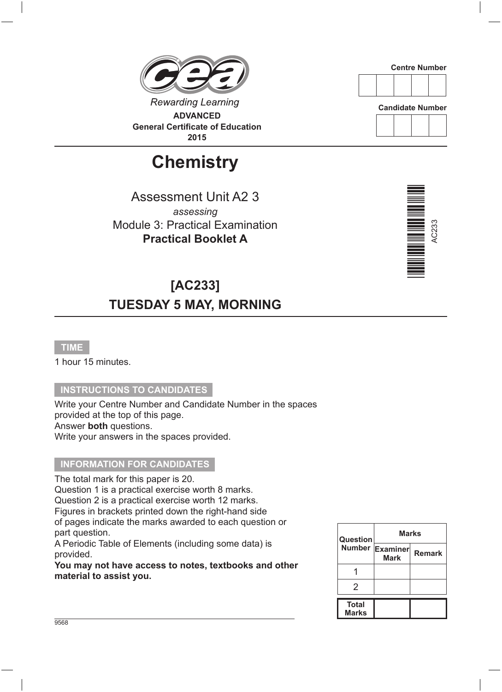**Rewarding Learning** 

**ADVANCED General Certificate of Education 2015**

# **Chemistry**

Assessment Unit A2 3 *assessing* Module 3: Practical Examination **Practical Booklet A**

## **[AC233] TUESDAY 5 MAY, MORNING**

#### **TIME**

1 hour 15 minutes.

### **INSTRUCTIONS TO CANDIDATES**

Write your Centre Number and Candidate Number in the spaces provided at the top of this page. Answer **both** questions. Write your answers in the spaces provided.

#### **INFORMATION FOR CANDIDATES**

The total mark for this paper is 20.

Question 1 is a practical exercise worth 8 marks.

Question 2 is a practical exercise worth 12 marks.

Figures in brackets printed down the right-hand side

of pages indicate the marks awarded to each question or part question.

A Periodic Table of Elements (including some data) is provided.

**You may not have access to notes, textbooks and other material to assist you.**

| Question                     | <b>Marks</b>                   |               |
|------------------------------|--------------------------------|---------------|
|                              | Number Examiner<br><b>Mark</b> | <b>Remark</b> |
|                              |                                |               |
| 2                            |                                |               |
| <b>Total</b><br><b>Marks</b> |                                |               |



**Centre Number**



**Candidate Number**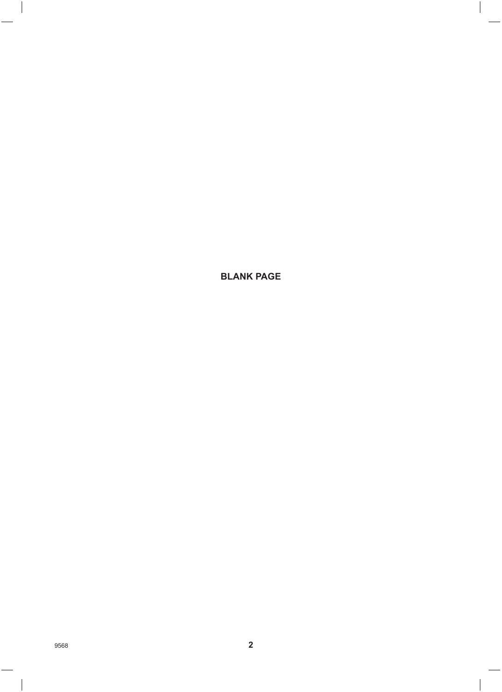**BLANK PAGE**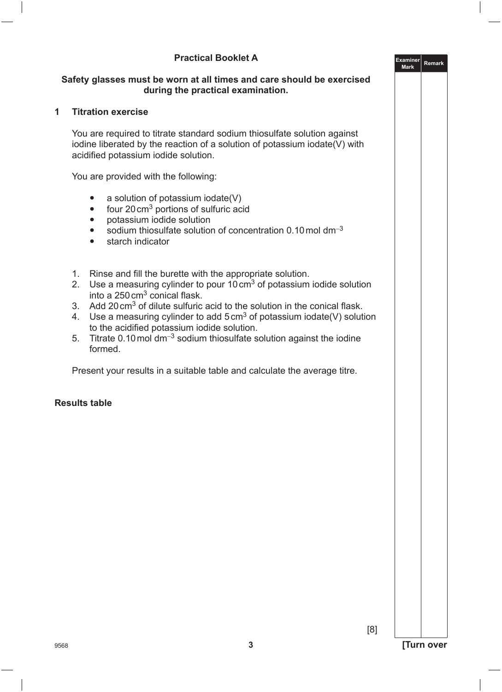#### **Safety glasses must be worn at all times and care should be exercised during the practical examination.**

#### **1 Titration exercise**

You are required to titrate standard sodium thiosulfate solution against iodine liberated by the reaction of a solution of potassium iodate(V) with acidified potassium iodide solution.

You are provided with the following:

- $\bullet$  a solution of potassium iodate(V)
- four  $20 \text{ cm}^3$  portions of sulfuric acid
- potassium iodide solution
- sodium thiosulfate solution of concentration 0.10mol dm−<sup>3</sup>
- starch indicator
- 1. Rinse and fill the burette with the appropriate solution.
- 2. Use a measuring cylinder to pour  $10 \text{ cm}^3$  of potassium iodide solution into a  $250 \,\mathrm{cm}^3$  conical flask.
- 3. Add 20 cm<sup>3</sup> of dilute sulfuric acid to the solution in the conical flask.
- 4. Use a measuring cylinder to add  $5 \text{ cm}^3$  of potassium iodate(V) solution to the acidified potassium iodide solution.
- 5. Titrate 0.10 mol  $dm^{-3}$  sodium thiosulfate solution against the iodine formed.

Present your results in a suitable table and calculate the average titre.

#### **Results table**

**Examiner** 

**Mark Remark**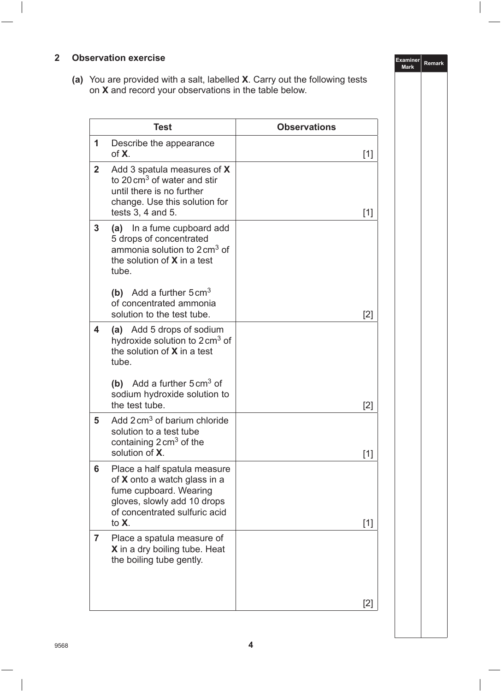#### **2 Observation exercise**

**(a)** You are provided with a salt, labelled **X**. Carry out the following tests on **X** and record your observations in the table below.

**Examiner** 

**Mark Remark**

|                | <b>Test</b>                                                                                                                                                               | <b>Observations</b> |
|----------------|---------------------------------------------------------------------------------------------------------------------------------------------------------------------------|---------------------|
| 1              | Describe the appearance<br>of $X$ .                                                                                                                                       | $[1]$               |
| $\mathbf{2}$   | Add 3 spatula measures of X<br>to 20 $cm3$ of water and stir<br>until there is no further<br>change. Use this solution for<br>tests $3, 4$ and $5.$                       | $[1]$               |
| 3              | (a) In a fume cupboard add<br>5 drops of concentrated<br>ammonia solution to 2 cm <sup>3</sup> of<br>the solution of $X$ in a test<br>tube.                               |                     |
|                | (b) Add a further $5 \text{ cm}^3$<br>of concentrated ammonia<br>solution to the test tube.                                                                               | $[2]$               |
| 4              | (a) Add 5 drops of sodium<br>hydroxide solution to $2 \text{ cm}^3$ of<br>the solution of $X$ in a test<br>tube.                                                          |                     |
|                | (b) Add a further $5 \text{ cm}^3$ of<br>sodium hydroxide solution to<br>the test tube.                                                                                   | [2]                 |
| 5              | Add $2 \text{ cm}^3$ of barium chloride<br>solution to a test tube<br>containing $2 \text{ cm}^3$ of the<br>solution of X.                                                | [1]                 |
| 6              | Place a half spatula measure<br>of <b>X</b> onto a watch glass in a<br>fume cupboard. Wearing<br>gloves, slowly add 10 drops<br>of concentrated sulfuric acid<br>to $X$ . | $[1]$               |
| $\overline{7}$ | Place a spatula measure of<br>X in a dry boiling tube. Heat<br>the boiling tube gently.                                                                                   |                     |
|                |                                                                                                                                                                           | $[2]$               |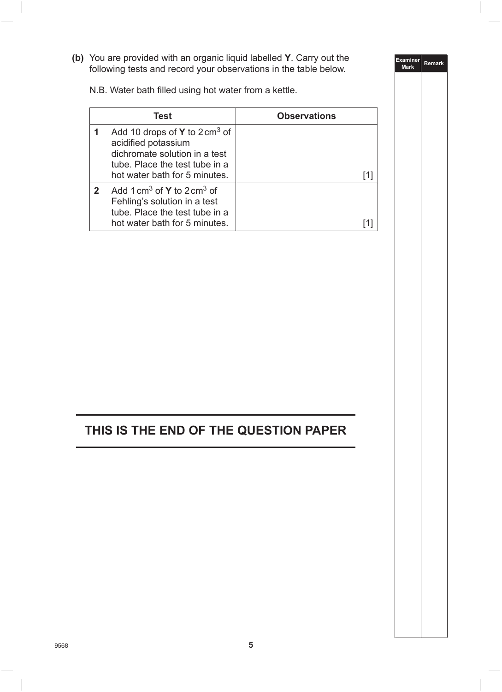**(b)** You are provided with an organic liquid labelled **Y**. Carry out the following tests and record your observations in the table below.

N.B. Water bath filled using hot water from a kettle.

|              | <b>Test</b>                                                                                                                                                         | <b>Observations</b> |
|--------------|---------------------------------------------------------------------------------------------------------------------------------------------------------------------|---------------------|
|              | Add 10 drops of Y to $2 \text{ cm}^3$ of<br>acidified potassium<br>dichromate solution in a test<br>tube. Place the test tube in a<br>hot water bath for 5 minutes. |                     |
| $\mathbf{2}$ | Add 1 cm <sup>3</sup> of <b>Y</b> to 2 cm <sup>3</sup> of<br>Fehling's solution in a test<br>tube. Place the test tube in a<br>hot water bath for 5 minutes.        |                     |

**Examiner Mark Remark**

### **THIS IS THE END OF THE QUESTION PAPER**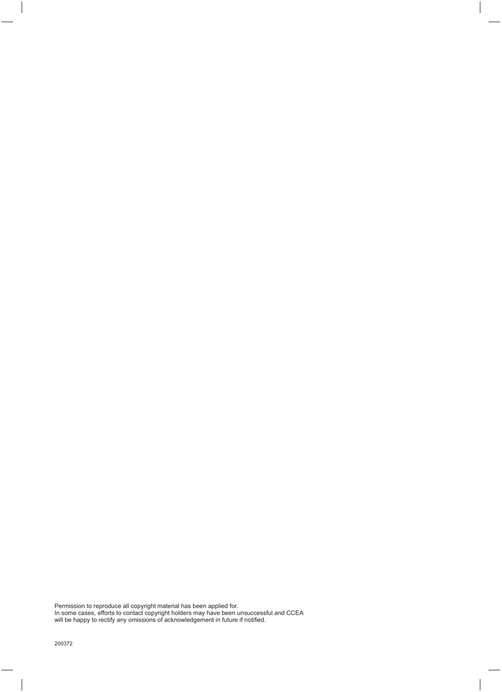Permission to reproduce all copyright material has been applied for. In some cases, efforts to contact copyright holders may have been unsuccessful and CCEA will be happy to rectify any omissions of acknowledgement in future if notified.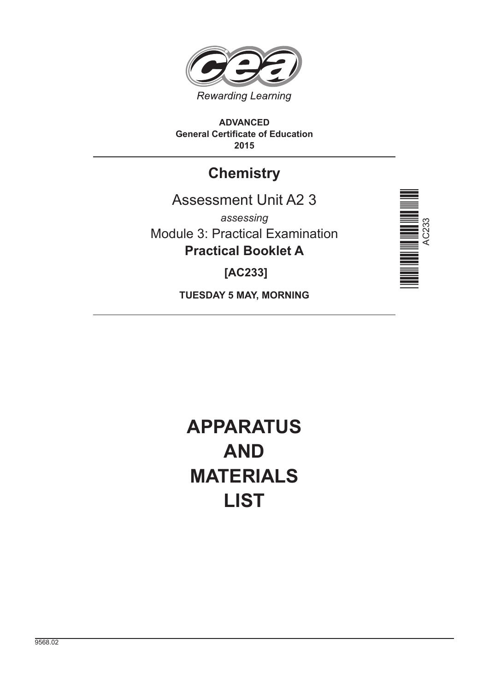

**ADVANCED General Certificate of Education 2015**

# **Chemistry**

## Assessment Unit A2 3

*assessing* Module 3: Practical Examination **Practical Booklet A**

 **[AC233]**

**TUESDAY 5 MAY, MORNING**



# **APPARATUS AND MATERIALS LIST**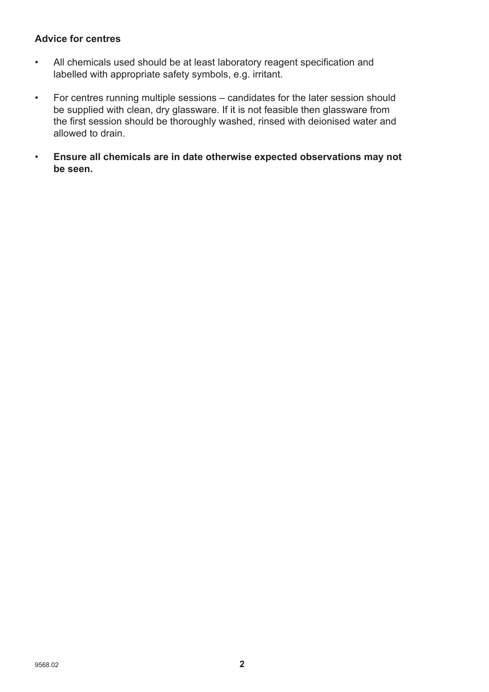#### **Advice for centres**

- All chemicals used should be at least laboratory reagent specification and labelled with appropriate safety symbols, e.g. irritant.
- For centres running multiple sessions candidates for the later session should be supplied with clean, dry glassware. If it is not feasible then glassware from the first session should be thoroughly washed, rinsed with deionised water and allowed to drain.
- **Ensure all chemicals are in date otherwise expected observations may not be seen.**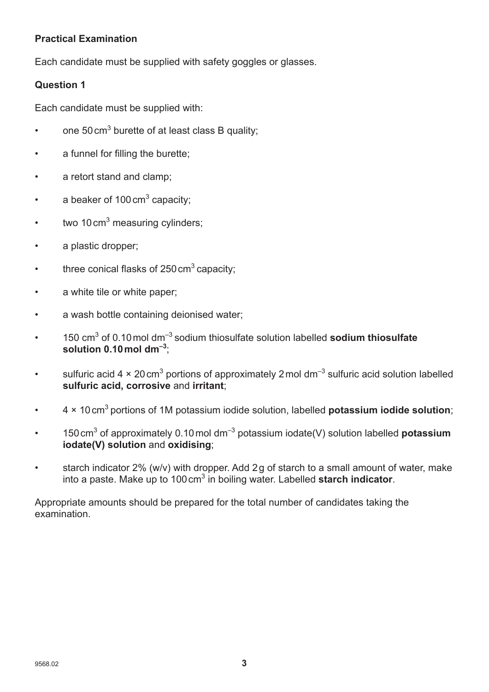#### **Practical Examination**

Each candidate must be supplied with safety goggles or glasses.

#### **Question 1**

Each candidate must be supplied with:

- one 50 cm<sup>3</sup> burette of at least class B quality;
- a funnel for filling the burette;
- a retort stand and clamp;
- $\bullet$  a beaker of 100 cm<sup>3</sup> capacity;
- $\cdot$  two 10 cm<sup>3</sup> measuring cylinders;
- a plastic dropper;
- three conical flasks of  $250 \text{ cm}^3$  capacity;
- a white tile or white paper;
- a wash bottle containing deionised water;
- 150 cm<sup>3</sup> of 0.10 mol dm<sup>-3</sup> sodium thiosulfate solution labelled **sodium thiosulfate solution 0.10 mol dm–3**;
- sulfuric acid 4  $\times$  20 cm<sup>3</sup> portions of approximately 2 mol dm<sup>-3</sup> sulfuric acid solution labelled **sulfuric acid, corrosive** and **irritant**;
- 4 × 10 cm3 portions of 1M potassium iodide solution, labelled **potassium iodide solution**;
- 150 cm<sup>3</sup> of approximately 0.10 mol dm<sup>-3</sup> potassium iodate(V) solution labelled **potassium iodate(V) solution** and **oxidising**;
- starch indicator 2% (w/v) with dropper. Add 2g of starch to a small amount of water, make into a paste. Make up to 100 cm<sup>3</sup> in boiling water. Labelled **starch indicator**.

Appropriate amounts should be prepared for the total number of candidates taking the examination.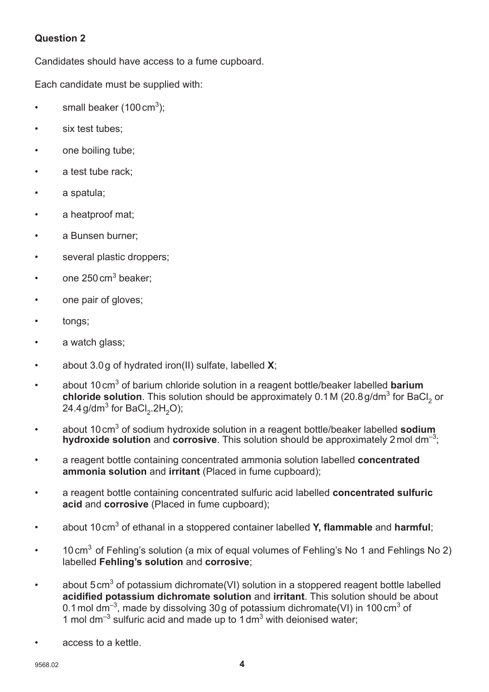#### **Question 2**

Candidates should have access to a fume cupboard.

Each candidate must be supplied with:

- small beaker (100 cm<sup>3</sup>);
- six test tubes:
- one boiling tube;
- a test tube rack;
- a spatula;
- a heatproof mat:
- a Bunsen burner;
- several plastic droppers;
- one 250 cm<sup>3</sup> beaker;
- one pair of gloves;
- tongs;
- a watch glass:
- about 3.0 g of hydrated iron(II) sulfate, labelled **X**;
- about 10 cm<sup>3</sup> of barium chloride solution in a reagent bottle/beaker labelled **barium chloride solution**. This solution should be approximately  $0.1 M$  (20.8 g/dm<sup>3</sup> for BaCl<sub>2</sub> or 24.4 g/dm $^3$  for BaCl $_2$ .2H $_2$ O);
- about 10 cm<sup>3</sup> of sodium hydroxide solution in a reagent bottle/beaker labelled **sodium hydroxide solution** and **corrosive**. This solution should be approximately 2 mol dm–3;
- a reagent bottle containing concentrated ammonia solution labelled **concentrated ammonia solution** and **irritant** (Placed in fume cupboard);
- a reagent bottle containing concentrated sulfuric acid labelled **concentrated sulfuric acid** and **corrosive** (Placed in fume cupboard);
- about 10 cm<sup>3</sup> of ethanal in a stoppered container labelled **Y, flammable** and **harmful**;
- 10 cm<sup>3</sup> of Fehling's solution (a mix of equal volumes of Fehling's No 1 and Fehlings No 2) labelled **Fehling's solution** and **corrosive**;
- about 5 cm<sup>3</sup> of potassium dichromate(VI) solution in a stoppered reagent bottle labelled **acidified potassium dichromate solution** and **irritant**. This solution should be about 0.1 mol dm<sup>-3</sup>, made by dissolving 30 g of potassium dichromate(VI) in 100 cm<sup>3</sup> of 1 mol dm<sup>-3</sup> sulfuric acid and made up to 1 dm<sup>3</sup> with deionised water;
- access to a kettle.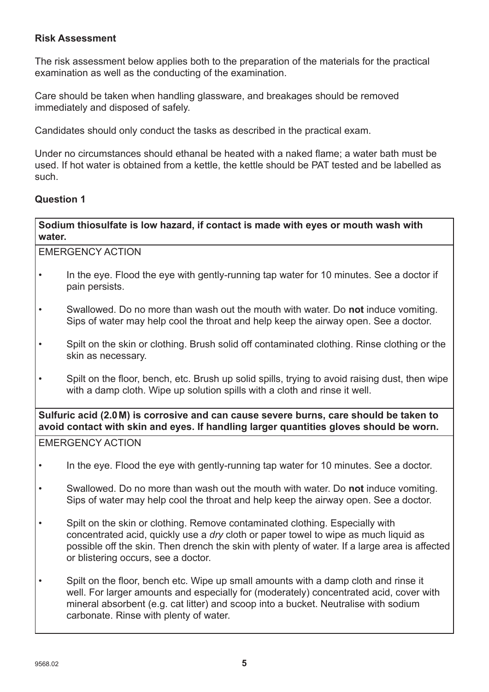#### **Risk Assessment**

The risk assessment below applies both to the preparation of the materials for the practical examination as well as the conducting of the examination.

Care should be taken when handling glassware, and breakages should be removed immediately and disposed of safely.

Candidates should only conduct the tasks as described in the practical exam.

Under no circumstances should ethanal be heated with a naked flame; a water bath must be used. If hot water is obtained from a kettle, the kettle should be PAT tested and be labelled as such.

#### **Question 1**

#### **Sodium thiosulfate is low hazard, if contact is made with eyes or mouth wash with water.**

EMERGENCY ACTION

- In the eye. Flood the eye with gently-running tap water for 10 minutes. See a doctor if pain persists.
- Swallowed. Do no more than wash out the mouth with water. Do **not** induce vomiting. Sips of water may help cool the throat and help keep the airway open. See a doctor.
- Spilt on the skin or clothing. Brush solid off contaminated clothing. Rinse clothing or the skin as necessary.
- Spilt on the floor, bench, etc. Brush up solid spills, trying to avoid raising dust, then wipe with a damp cloth. Wipe up solution spills with a cloth and rinse it well.

**Sulfuric acid (2.0 M) is corrosive and can cause severe burns, care should be taken to avoid contact with skin and eyes. If handling larger quantities gloves should be worn.**

#### EMERGENCY ACTION

- In the eve. Flood the eve with gently-running tap water for 10 minutes. See a doctor.
- Swallowed. Do no more than wash out the mouth with water. Do **not** induce vomiting. Sips of water may help cool the throat and help keep the airway open. See a doctor.
- Spilt on the skin or clothing. Remove contaminated clothing. Especially with concentrated acid, quickly use a *dry* cloth or paper towel to wipe as much liquid as possible off the skin. Then drench the skin with plenty of water. If a large area is affected or blistering occurs, see a doctor.
- Spilt on the floor, bench etc. Wipe up small amounts with a damp cloth and rinse it well. For larger amounts and especially for (moderately) concentrated acid, cover with mineral absorbent (e.g. cat litter) and scoop into a bucket. Neutralise with sodium carbonate. Rinse with plenty of water.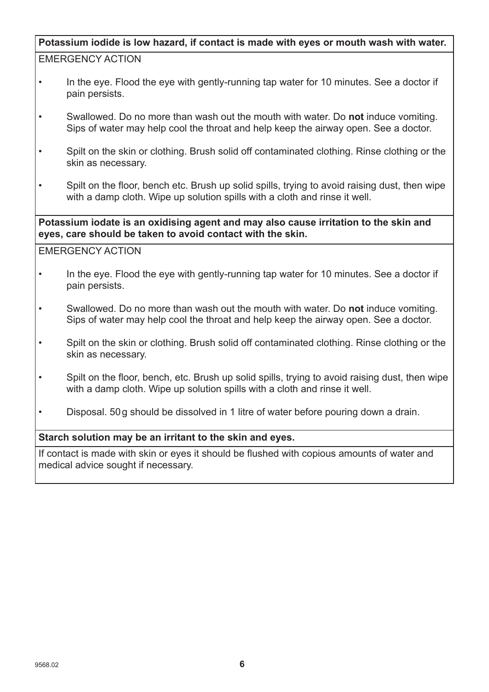### **Potassium iodide is low hazard, if contact is made with eyes or mouth wash with water.** EMERGENCY ACTION

### • In the eye. Flood the eye with gently-running tap water for 10 minutes. See a doctor if pain persists.

- Swallowed. Do no more than wash out the mouth with water. Do **not** induce vomiting. Sips of water may help cool the throat and help keep the airway open. See a doctor.
- Spilt on the skin or clothing. Brush solid off contaminated clothing. Rinse clothing or the skin as necessary.
- Spilt on the floor, bench etc. Brush up solid spills, trying to avoid raising dust, then wipe with a damp cloth. Wipe up solution spills with a cloth and rinse it well.

**Potassium iodate is an oxidising agent and may also cause irritation to the skin and eyes, care should be taken to avoid contact with the skin.**

EMERGENCY ACTION

- In the eye. Flood the eye with gently-running tap water for 10 minutes. See a doctor if pain persists.
- Swallowed. Do no more than wash out the mouth with water. Do **not** induce vomiting. Sips of water may help cool the throat and help keep the airway open. See a doctor.
- Spilt on the skin or clothing. Brush solid off contaminated clothing. Rinse clothing or the skin as necessary.
- Spilt on the floor, bench, etc. Brush up solid spills, trying to avoid raising dust, then wipe with a damp cloth. Wipe up solution spills with a cloth and rinse it well.
- Disposal. 50 g should be dissolved in 1 litre of water before pouring down a drain.

#### **Starch solution may be an irritant to the skin and eyes.**

If contact is made with skin or eyes it should be flushed with copious amounts of water and medical advice sought if necessary.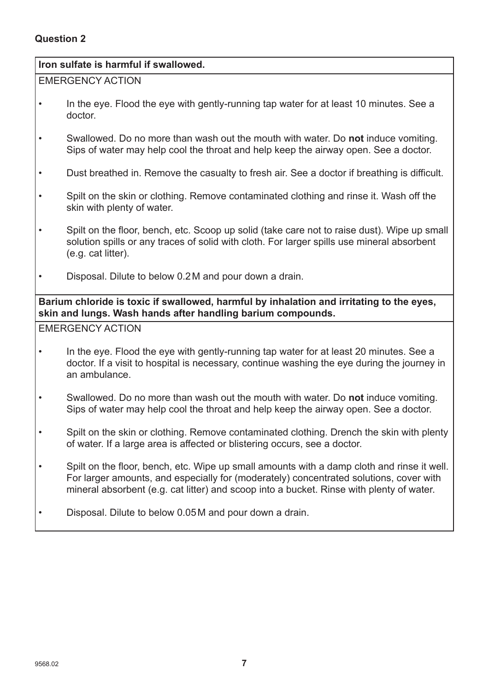#### **Question 2**

#### **Iron sulfate is harmful if swallowed.**

#### EMERGENCY ACTION

- In the eye. Flood the eye with gently-running tap water for at least 10 minutes. See a doctor.
- Swallowed. Do no more than wash out the mouth with water. Do **not** induce vomiting. Sips of water may help cool the throat and help keep the airway open. See a doctor.
- Dust breathed in. Remove the casualty to fresh air. See a doctor if breathing is difficult.
- Spilt on the skin or clothing. Remove contaminated clothing and rinse it. Wash off the skin with plenty of water.
- Spilt on the floor, bench, etc. Scoop up solid (take care not to raise dust). Wipe up small solution spills or any traces of solid with cloth. For larger spills use mineral absorbent (e.g. cat litter).
- Disposal. Dilute to below 0.2 M and pour down a drain.

**Barium chloride is toxic if swallowed, harmful by inhalation and irritating to the eyes, skin and lungs. Wash hands after handling barium compounds.**

EMERGENCY ACTION

- In the eye. Flood the eye with gently-running tap water for at least 20 minutes. See a doctor. If a visit to hospital is necessary, continue washing the eye during the journey in an ambulance.
- Swallowed. Do no more than wash out the mouth with water. Do **not** induce vomiting. Sips of water may help cool the throat and help keep the airway open. See a doctor.
- Spilt on the skin or clothing. Remove contaminated clothing. Drench the skin with plenty of water. If a large area is affected or blistering occurs, see a doctor.
- Spilt on the floor, bench, etc. Wipe up small amounts with a damp cloth and rinse it well. For larger amounts, and especially for (moderately) concentrated solutions, cover with mineral absorbent (e.g. cat litter) and scoop into a bucket. Rinse with plenty of water.
- Disposal. Dilute to below 0.05 M and pour down a drain.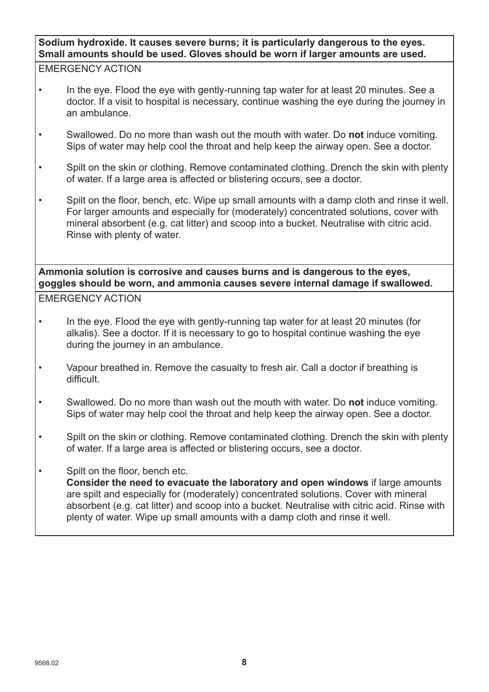**Sodium hydroxide. It causes severe burns; it is particularly dangerous to the eyes. Small amounts should be used. Gloves should be worn if larger amounts are used.**

EMERGENCY ACTION

- In the eye. Flood the eye with gently-running tap water for at least 20 minutes. See a doctor. If a visit to hospital is necessary, continue washing the eye during the journey in an ambulance.
- Swallowed. Do no more than wash out the mouth with water. Do **not** induce vomiting. Sips of water may help cool the throat and help keep the airway open. See a doctor.
- Spilt on the skin or clothing. Remove contaminated clothing. Drench the skin with plenty of water. If a large area is affected or blistering occurs, see a doctor.
- Spilt on the floor, bench, etc. Wipe up small amounts with a damp cloth and rinse it well. For larger amounts and especially for (moderately) concentrated solutions, cover with mineral absorbent (e.g. cat litter) and scoop into a bucket. Neutralise with citric acid. Rinse with plenty of water.

**Ammonia solution is corrosive and causes burns and is dangerous to the eyes, goggles should be worn, and ammonia causes severe internal damage if swallowed.**

EMERGENCY ACTION

- In the eye. Flood the eye with gently-running tap water for at least 20 minutes (for alkalis). See a doctor. If it is necessary to go to hospital continue washing the eye during the journey in an ambulance.
- Vapour breathed in. Remove the casualty to fresh air. Call a doctor if breathing is difficult.
- Swallowed. Do no more than wash out the mouth with water. Do **not** induce vomiting. Sips of water may help cool the throat and help keep the airway open. See a doctor.
- Spilt on the skin or clothing. Remove contaminated clothing. Drench the skin with plenty of water. If a large area is affected or blistering occurs, see a doctor.
- Spilt on the floor, bench etc.

**Consider the need to evacuate the laboratory and open windows** if large amounts are spilt and especially for (moderately) concentrated solutions. Cover with mineral absorbent (e.g. cat litter) and scoop into a bucket. Neutralise with citric acid. Rinse with plenty of water. Wipe up small amounts with a damp cloth and rinse it well.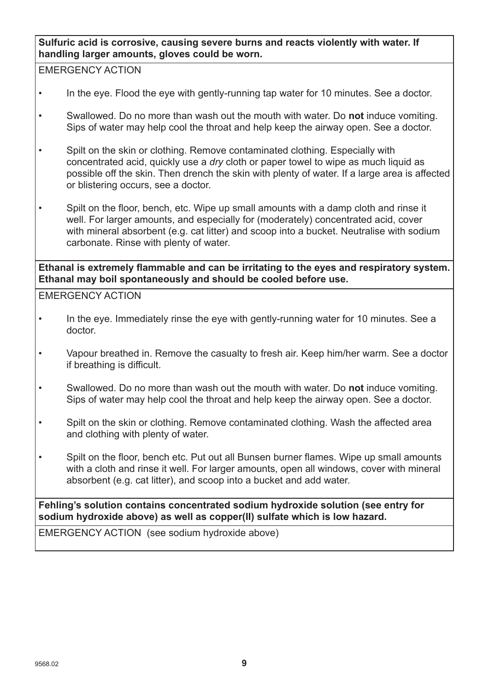**Sulfuric acid is corrosive, causing severe burns and reacts violently with water. If handling larger amounts, gloves could be worn.**

#### EMERGENCY ACTION

- In the eye. Flood the eye with gently-running tap water for 10 minutes. See a doctor.
- Swallowed. Do no more than wash out the mouth with water. Do **not** induce vomiting. Sips of water may help cool the throat and help keep the airway open. See a doctor.
- Spilt on the skin or clothing. Remove contaminated clothing. Especially with concentrated acid, quickly use a *dry* cloth or paper towel to wipe as much liquid as possible off the skin. Then drench the skin with plenty of water. If a large area is affected or blistering occurs, see a doctor.
- Spilt on the floor, bench, etc. Wipe up small amounts with a damp cloth and rinse it well. For larger amounts, and especially for (moderately) concentrated acid, cover with mineral absorbent (e.g. cat litter) and scoop into a bucket. Neutralise with sodium carbonate. Rinse with plenty of water.

**Ethanal is extremely flammable and can be irritating to the eyes and respiratory system. Ethanal may boil spontaneously and should be cooled before use.**

EMERGENCY ACTION

- In the eye. Immediately rinse the eye with gently-running water for 10 minutes. See a doctor.
- Vapour breathed in. Remove the casualty to fresh air. Keep him/her warm. See a doctor if breathing is difficult.
- Swallowed. Do no more than wash out the mouth with water. Do **not** induce vomiting. Sips of water may help cool the throat and help keep the airway open. See a doctor.
- Spilt on the skin or clothing. Remove contaminated clothing. Wash the affected area and clothing with plenty of water.
- Spilt on the floor, bench etc. Put out all Bunsen burner flames. Wipe up small amounts with a cloth and rinse it well. For larger amounts, open all windows, cover with mineral absorbent (e.g. cat litter), and scoop into a bucket and add water.

**Fehling's solution contains concentrated sodium hydroxide solution (see entry for sodium hydroxide above) as well as copper(II) sulfate which is low hazard.**

EMERGENCY ACTION (see sodium hydroxide above)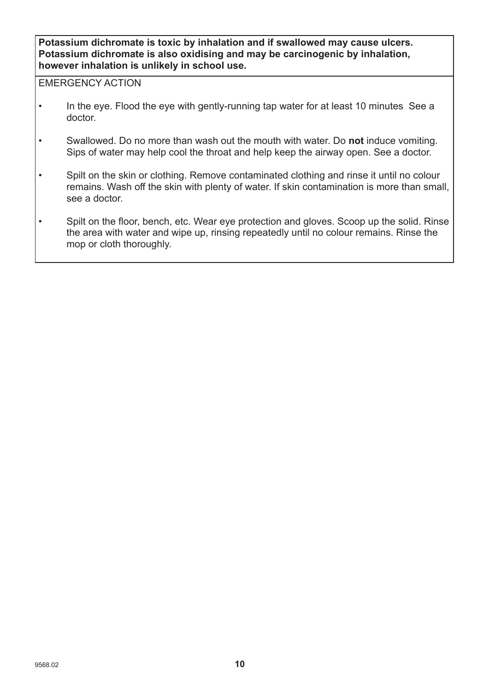**Potassium dichromate is toxic by inhalation and if swallowed may cause ulcers. Potassium dichromate is also oxidising and may be carcinogenic by inhalation, however inhalation is unlikely in school use.**

#### EMERGENCY ACTION

- In the eye. Flood the eye with gently-running tap water for at least 10 minutes See a doctor.
- Swallowed. Do no more than wash out the mouth with water. Do **not** induce vomiting. Sips of water may help cool the throat and help keep the airway open. See a doctor.
- Spilt on the skin or clothing. Remove contaminated clothing and rinse it until no colour remains. Wash off the skin with plenty of water. If skin contamination is more than small, see a doctor.
- Spilt on the floor, bench, etc. Wear eye protection and gloves. Scoop up the solid. Rinse the area with water and wipe up, rinsing repeatedly until no colour remains. Rinse the mop or cloth thoroughly.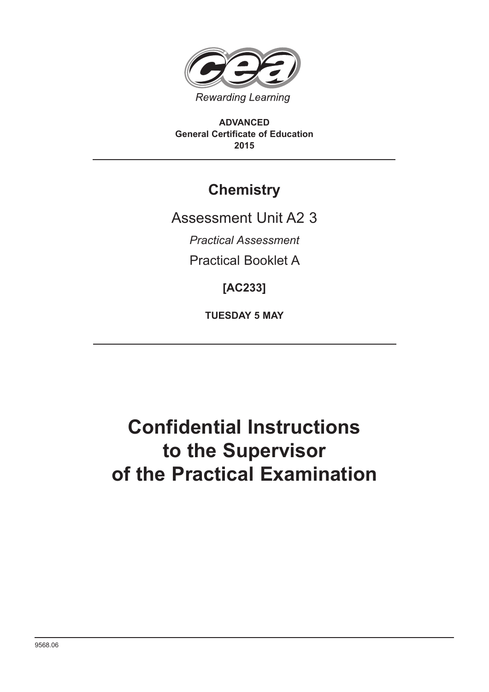

**ADVANCED General Certificate of Education 2015**

# **Chemistry**

## Assessment Unit A2 3

*Practical Assessment*

Practical Booklet A

**[AC233]**

**TUESDAY 5 MAY**

# **Confidential Instructions to the Supervisor of the Practical Examination**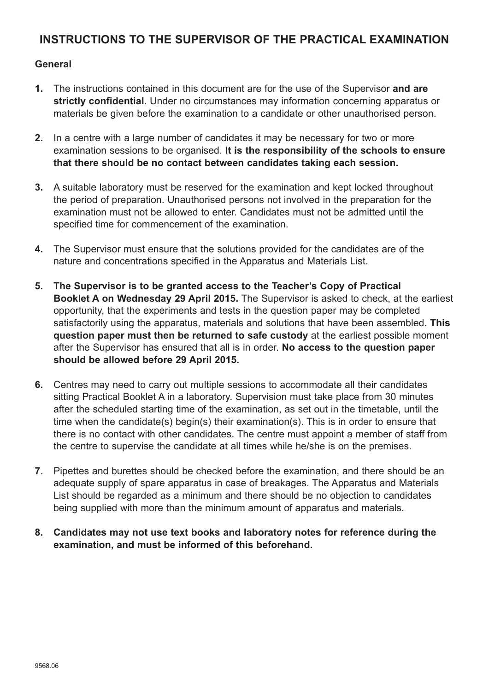### **INSTRUCTIONS TO THE SUPERVISOR OF THE PRACTICAL EXAMINATION**

#### **General**

- **1.** The instructions contained in this document are for the use of the Supervisor **and are strictly confidential**. Under no circumstances may information concerning apparatus or materials be given before the examination to a candidate or other unauthorised person.
- **2.** In a centre with a large number of candidates it may be necessary for two or more examination sessions to be organised. **It is the responsibility of the schools to ensure that there should be no contact between candidates taking each session.**
- **3.** A suitable laboratory must be reserved for the examination and kept locked throughout the period of preparation. Unauthorised persons not involved in the preparation for the examination must not be allowed to enter. Candidates must not be admitted until the specified time for commencement of the examination.
- **4.** The Supervisor must ensure that the solutions provided for the candidates are of the nature and concentrations specified in the Apparatus and Materials List.
- **5. The Supervisor is to be granted access to the Teacher's Copy of Practical Booklet A on Wednesday 29 April 2015.** The Supervisor is asked to check, at the earliest opportunity, that the experiments and tests in the question paper may be completed satisfactorily using the apparatus, materials and solutions that have been assembled. **This question paper must then be returned to safe custody** at the earliest possible moment after the Supervisor has ensured that all is in order. **No access to the question paper should be allowed before 29 April 2015.**
- **6.** Centres may need to carry out multiple sessions to accommodate all their candidates sitting Practical Booklet A in a laboratory. Supervision must take place from 30 minutes after the scheduled starting time of the examination, as set out in the timetable, until the time when the candidate(s) begin(s) their examination(s). This is in order to ensure that there is no contact with other candidates. The centre must appoint a member of staff from the centre to supervise the candidate at all times while he/she is on the premises.
- **7**. Pipettes and burettes should be checked before the examination, and there should be an adequate supply of spare apparatus in case of breakages. The Apparatus and Materials List should be regarded as a minimum and there should be no objection to candidates being supplied with more than the minimum amount of apparatus and materials.
- **8. Candidates may not use text books and laboratory notes for reference during the examination, and must be informed of this beforehand.**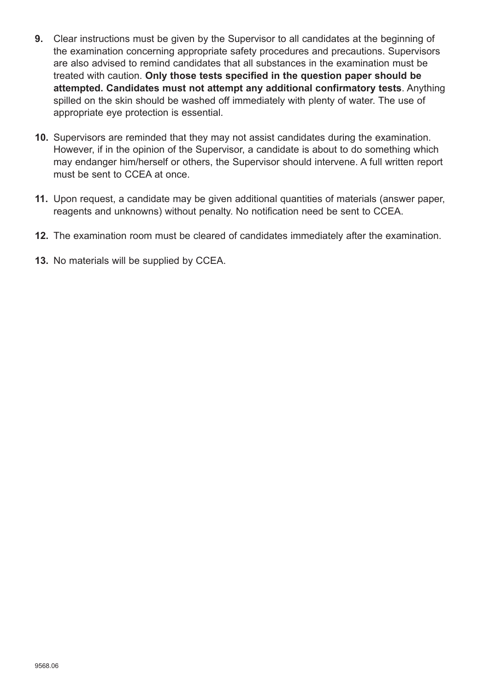- **9.** Clear instructions must be given by the Supervisor to all candidates at the beginning of the examination concerning appropriate safety procedures and precautions. Supervisors are also advised to remind candidates that all substances in the examination must be treated with caution. **Only those tests specified in the question paper should be attempted. Candidates must not attempt any additional confirmatory tests**. Anything spilled on the skin should be washed off immediately with plenty of water. The use of appropriate eye protection is essential.
- **10.** Supervisors are reminded that they may not assist candidates during the examination. However, if in the opinion of the Supervisor, a candidate is about to do something which may endanger him/herself or others, the Supervisor should intervene. A full written report must be sent to CCEA at once.
- **11.** Upon request, a candidate may be given additional quantities of materials (answer paper, reagents and unknowns) without penalty. No notification need be sent to CCEA.
- **12.** The examination room must be cleared of candidates immediately after the examination.
- **13.** No materials will be supplied by CCEA.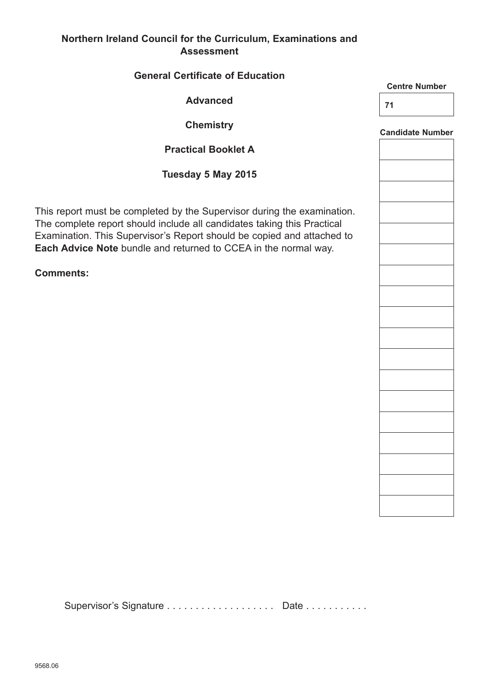#### **Northern Ireland Council for the Curriculum, Examinations and Assessment**

#### **General Certificate of Education**

**Advanced**

**Chemistry**

**Practical Booklet A**

**Tuesday 5 May 2015**

This report must be completed by the Supervisor during the examination. The complete report should include all candidates taking this Practical Examination. This Supervisor's Report should be copied and attached to **Each Advice Note** bundle and returned to CCEA in the normal way.

**Comments:** 

**Centre Number**

**71**

**Candidate Number**

| <b>Candidate Number</b> |  |
|-------------------------|--|
|                         |  |
|                         |  |
|                         |  |
|                         |  |
|                         |  |
|                         |  |
|                         |  |
|                         |  |
|                         |  |
|                         |  |
|                         |  |
|                         |  |
|                         |  |
|                         |  |
|                         |  |
|                         |  |
|                         |  |
|                         |  |
|                         |  |
|                         |  |
|                         |  |
|                         |  |
|                         |  |
|                         |  |
|                         |  |
|                         |  |
|                         |  |
|                         |  |
|                         |  |
|                         |  |

Supervisor's Signature . . . . . . . . . . . . . . . . . . Date . . . . . . . . . . .